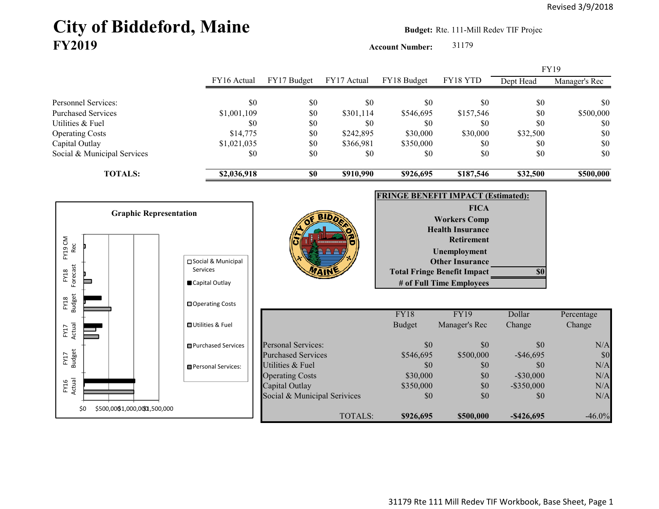# City of Biddeford, Maine **Budget:** Rte. 111-Mill Redev TIF Projec **FY2019**

**Account Number:** 31179

|                                      |                                  |                              |                |                                           |                                              |               | <b>FY19</b>   |
|--------------------------------------|----------------------------------|------------------------------|----------------|-------------------------------------------|----------------------------------------------|---------------|---------------|
|                                      | FY16 Actual                      | FY17 Budget                  | FY17 Actual    | FY18 Budget                               | FY18 YTD                                     | Dept Head     | Manager's Rec |
| Personnel Services:                  | \$0                              | \$0                          | \$0            | \$0                                       | \$0                                          | \$0           | \$0           |
| <b>Purchased Services</b>            | \$1,001,109                      | $\$0$                        | \$301,114      | \$546,695                                 | \$157,546                                    | \$0           | \$500,000     |
| Utilities & Fuel                     | \$0                              | \$0                          | \$0            | \$0                                       | \$0                                          | \$0           | \$0           |
| <b>Operating Costs</b>               | \$14,775                         | \$0                          | \$242,895      | \$30,000                                  | \$30,000                                     | \$32,500      | $\$0$         |
| Capital Outlay                       | \$1,021,035                      | \$0                          | \$366,981      | \$350,000                                 | \$0                                          | \$0           | $\$0$         |
| Social & Municipal Services          | \$0                              | \$0                          | \$0            | \$0                                       | \$0                                          | \$0           | \$0           |
| <b>TOTALS:</b>                       | \$2,036,918                      | \$0                          | \$910,990      | \$926,695                                 | \$187,546                                    | \$32,500      | \$500,000     |
|                                      |                                  |                              |                | <b>FRINGE BENEFIT IMPACT (Estimated):</b> |                                              |               |               |
|                                      |                                  |                              |                |                                           |                                              |               |               |
| <b>Graphic Representation</b>        |                                  |                              |                |                                           | <b>FICA</b>                                  |               |               |
|                                      |                                  |                              |                |                                           | <b>Workers Comp</b>                          |               |               |
|                                      |                                  |                              |                |                                           | <b>Health Insurance</b><br><b>Retirement</b> |               |               |
| Rec                                  |                                  |                              |                |                                           |                                              |               |               |
| FY19 CM                              |                                  |                              |                |                                           | Unemployment                                 |               |               |
|                                      | □ Social & Municipal<br>Services |                              |                |                                           | <b>Other Insurance</b>                       |               |               |
| Forecast<br>FY18                     |                                  |                              |                |                                           | <b>Total Fringe Benefit Impact</b>           | \$0           |               |
|                                      | Capital Outlay                   |                              |                |                                           | # of Full Time Employees                     |               |               |
| <b>Budget</b><br>FY18                | □ Operating Costs                |                              |                |                                           |                                              |               |               |
|                                      |                                  |                              |                | FY18                                      | FY19                                         | Dollar        | Percentage    |
| Actual                               | <b>OUtilities &amp; Fuel</b>     |                              |                | <b>Budget</b>                             | Manager's Rec                                | Change        | Change        |
| FY17                                 |                                  |                              |                |                                           |                                              |               |               |
|                                      | <b>□</b> Purchased Services      | <b>Personal Services:</b>    |                | \$0                                       | \$0                                          | \$0           | N/A           |
| <b>Budget</b><br>FY17                |                                  | <b>Purchased Services</b>    |                | \$546,695                                 | \$500,000                                    | $-$ \$46,695  | \$0           |
|                                      | Personal Services:               | Utilities & Fuel             |                | \$0                                       | \$0                                          | \$0           | N/A           |
|                                      |                                  | <b>Operating Costs</b>       |                | \$30,000                                  | \$0                                          | $-$ \$30,000  | N/A           |
| FY16<br>Actual                       |                                  | Capital Outlay               |                | \$350,000                                 | \$0                                          | $-$ \$350,000 | N/A           |
|                                      |                                  | Social & Municipal Serivices |                | \$0                                       | \$0                                          | \$0           | N/A           |
| \$500,000\$1,000,0000,500,000<br>\$0 |                                  |                              |                |                                           |                                              |               |               |
|                                      |                                  |                              | <b>TOTALS:</b> | \$926,695                                 | \$500,000                                    | $-$ \$426,695 | $-46.0\%$     |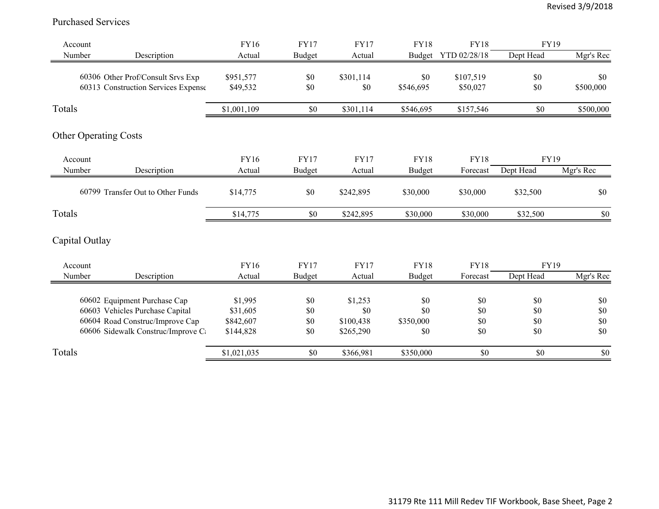### Purchased Services

| Account                             | FY16        | <b>FY17</b>   | <b>FY17</b> | <b>FY18</b> | <b>FY18</b>  | <b>FY19</b> |           |
|-------------------------------------|-------------|---------------|-------------|-------------|--------------|-------------|-----------|
| Number<br>Description               | Actual      | <b>Budget</b> | Actual      | Budget      | YTD 02/28/18 | Dept Head   | Mgr's Rec |
| 60306 Other Prof/Consult Srvs Exp   | \$951,577   | \$0           | \$301,114   | \$0         | \$107,519    | \$0         | \$0       |
| 60313 Construction Services Expense | \$49,532    | \$0           | \$0         | \$546,695   | \$50,027     | \$0         | \$500,000 |
| Totals                              | \$1,001,109 | \$0           | \$301,114   | \$546,695   | \$157,546    | \$0         | \$500,000 |
| <b>Other Operating Costs</b>        |             |               |             |             |              |             |           |
| Account                             | <b>FY16</b> | <b>FY17</b>   | <b>FY17</b> | <b>FY18</b> | <b>FY18</b>  | <b>FY19</b> |           |
| Number<br>Description               | Actual      | Budget        | Actual      | Budget      | Forecast     | Dept Head   | Mgr's Rec |
| 60799 Transfer Out to Other Funds   | \$14,775    | \$0           | \$242,895   | \$30,000    | \$30,000     | \$32,500    | \$0       |
| Totals                              | \$14,775    | \$0           | \$242,895   | \$30,000    | \$30,000     | \$32,500    | $\$0$     |
| Capital Outlay                      |             |               |             |             |              |             |           |
| Account                             | FY16        | <b>FY17</b>   | <b>FY17</b> | <b>FY18</b> | <b>FY18</b>  | <b>FY19</b> |           |
| Number<br>Description               | Actual      | Budget        | Actual      | Budget      | Forecast     | Dept Head   | Mgr's Rec |
| 60602 Equipment Purchase Cap        | \$1,995     | \$0           | \$1,253     | \$0         | \$0          | \$0         | \$0       |
| 60603 Vehicles Purchase Capital     | \$31,605    | \$0           | \$0         | \$0         | \$0          | \$0         | \$0       |
| 60604 Road Construc/Improve Cap     | \$842,607   | \$0           | \$100,438   | \$350,000   | \$0          | \$0         | \$0       |
| 60606 Sidewalk Construc/Improve C   | \$144,828   | \$0           | \$265,290   | \$0         | \$0          | \$0         | \$0       |
| Totals                              | \$1,021,035 | \$0           | \$366,981   | \$350,000   | \$0          | \$0         | $\$0$     |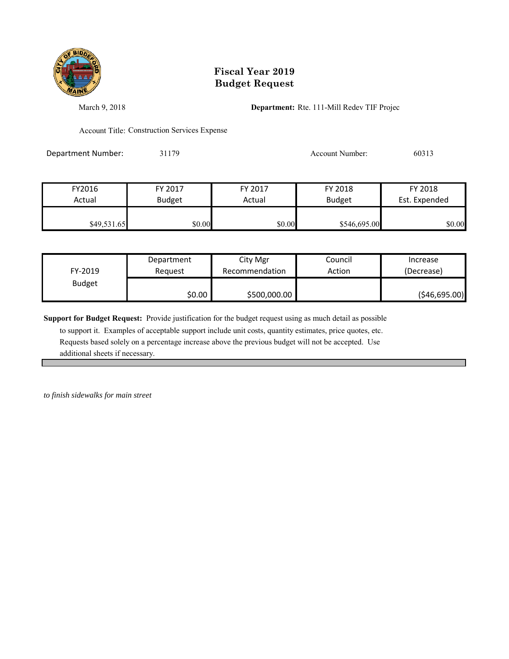

# **Fiscal Year 2019 Budget Request**

March 9, 2018 **Department:** Rte. 111-Mill Redev TIF Projec

Account Title: Construction Services Expense

Department Number: 31179 31179 Account Number: 60313

| FY2016      | FY 2017       | FY 2017 | FY 2018       | FY 2018       |
|-------------|---------------|---------|---------------|---------------|
| Actual      | <b>Budget</b> | Actual  | <b>Budget</b> | Est. Expended |
|             |               |         |               |               |
| \$49,531.65 | \$0.00        | \$0.00  | \$546,695.00  | \$0.00        |

| FY-2019       | Department | City Mgr       | Council | Increase       |
|---------------|------------|----------------|---------|----------------|
|               | Reauest    | Recommendation | Action  | (Decrease)     |
| <b>Budget</b> | \$0.00     | \$500,000.00   |         | ( \$46,695.00) |

**Support for Budget Request:** Provide justification for the budget request using as much detail as possible

 to support it. Examples of acceptable support include unit costs, quantity estimates, price quotes, etc. Requests based solely on a percentage increase above the previous budget will not be accepted. Use additional sheets if necessary.

*to finish sidewalks for main street*